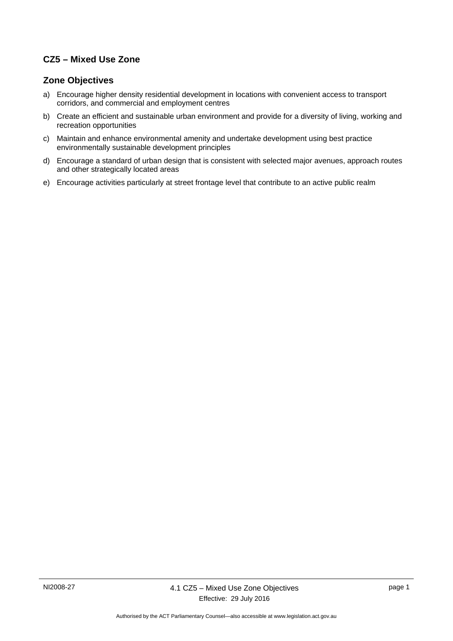## **CZ5 – Mixed Use Zone**

### **Zone Objectives**

- a) Encourage higher density residential development in locations with convenient access to transport corridors, and commercial and employment centres
- b) Create an efficient and sustainable urban environment and provide for a diversity of living, working and recreation opportunities
- c) Maintain and enhance environmental amenity and undertake development using best practice environmentally sustainable development principles
- d) Encourage a standard of urban design that is consistent with selected major avenues, approach routes and other strategically located areas
- e) Encourage activities particularly at street frontage level that contribute to an active public realm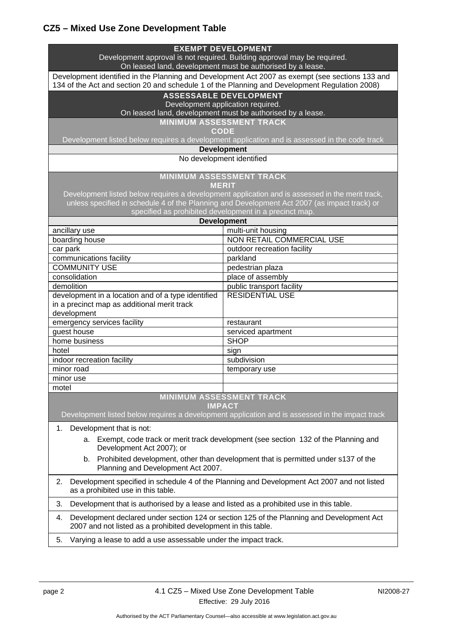# **CZ5 – Mixed Use Zone Development Table**

|                                                                                                                                                                                                  | <b>EXEMPT DEVELOPMENT</b>   |  |
|--------------------------------------------------------------------------------------------------------------------------------------------------------------------------------------------------|-----------------------------|--|
| Development approval is not required. Building approval may be required.<br>On leased land, development must be authorised by a lease.                                                           |                             |  |
| Development identified in the Planning and Development Act 2007 as exempt (see sections 133 and<br>134 of the Act and section 20 and schedule 1 of the Planning and Development Regulation 2008) |                             |  |
| <b>ASSESSABLE DEVELOPMENT</b>                                                                                                                                                                    |                             |  |
| Development application required.                                                                                                                                                                |                             |  |
| On leased land, development must be authorised by a lease.                                                                                                                                       |                             |  |
| <b>MINIMUM ASSESSMENT TRACK</b>                                                                                                                                                                  |                             |  |
| <b>CODE</b>                                                                                                                                                                                      |                             |  |
| Development listed below requires a development application and is assessed in the code track<br><b>Development</b>                                                                              |                             |  |
| No development identified                                                                                                                                                                        |                             |  |
|                                                                                                                                                                                                  |                             |  |
| <b>MINIMUM ASSESSMENT TRACK</b>                                                                                                                                                                  |                             |  |
| <b>MERIT</b><br>Development listed below requires a development application and is assessed in the merit track,                                                                                  |                             |  |
|                                                                                                                                                                                                  |                             |  |
| unless specified in schedule 4 of the Planning and Development Act 2007 (as impact track) or<br>specified as prohibited development in a precinct map.                                           |                             |  |
| <b>Development</b>                                                                                                                                                                               |                             |  |
| ancillary use                                                                                                                                                                                    | multi-unit housing          |  |
| boarding house                                                                                                                                                                                   | NON RETAIL COMMERCIAL USE   |  |
| car park                                                                                                                                                                                         | outdoor recreation facility |  |
| communications facility                                                                                                                                                                          | parkland                    |  |
| <b>COMMUNITY USE</b>                                                                                                                                                                             | pedestrian plaza            |  |
| consolidation                                                                                                                                                                                    | place of assembly           |  |
| demolition                                                                                                                                                                                       | public transport facility   |  |
| development in a location and of a type identified                                                                                                                                               | <b>RESIDENTIAL USE</b>      |  |
| in a precinct map as additional merit track                                                                                                                                                      |                             |  |
| development<br>emergency services facility                                                                                                                                                       | restaurant                  |  |
| guest house                                                                                                                                                                                      | serviced apartment          |  |
| home business                                                                                                                                                                                    | <b>SHOP</b>                 |  |
| hotel                                                                                                                                                                                            | sign                        |  |
| indoor recreation facility                                                                                                                                                                       | subdivision                 |  |
| minor road                                                                                                                                                                                       | temporary use               |  |
| minor use                                                                                                                                                                                        |                             |  |
| motel                                                                                                                                                                                            |                             |  |
| <b>MINIMUM ASSESSMENT TRACK</b>                                                                                                                                                                  |                             |  |
| <b>IMPACT</b>                                                                                                                                                                                    |                             |  |
| Development listed below requires a development application and is assessed in the impact track                                                                                                  |                             |  |
| 1.<br>Development that is not:                                                                                                                                                                   |                             |  |
| Exempt, code track or merit track development (see section 132 of the Planning and<br>a.<br>Development Act 2007); or                                                                            |                             |  |
| Prohibited development, other than development that is permitted under s137 of the<br>b.<br>Planning and Development Act 2007.                                                                   |                             |  |
| Development specified in schedule 4 of the Planning and Development Act 2007 and not listed<br>2.<br>as a prohibited use in this table.                                                          |                             |  |
| 3.<br>Development that is authorised by a lease and listed as a prohibited use in this table.                                                                                                    |                             |  |
| Development declared under section 124 or section 125 of the Planning and Development Act<br>4.<br>2007 and not listed as a prohibited development in this table.                                |                             |  |
| Varying a lease to add a use assessable under the impact track.<br>5.                                                                                                                            |                             |  |
|                                                                                                                                                                                                  |                             |  |